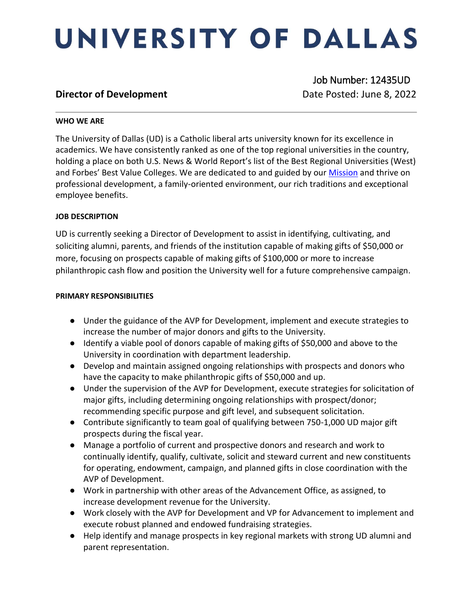# UNIVERSITY OF DALLAS

 Job Number: 12435UD **Director of Development Director of Development Date Posted: June 8, 2022** 

### **WHO WE ARE**

The University of Dallas (UD) is a Catholic liberal arts university known for its excellence in academics. We have consistently ranked as one of the top regional universities in the country, holding a place on both U.S. News & World Report's list of the Best Regional Universities (West) and Forbes' Best Value Colleges. We are dedicated to and guided by our [Mission](https://www.udallas.edu/about/mission.php) and thrive on professional development, a family-oriented environment, our rich traditions and exceptional employee benefits.

### **JOB DESCRIPTION**

UD is currently seeking a Director of Development to assist in identifying, cultivating, and soliciting alumni, parents, and friends of the institution capable of making gifts of \$50,000 or more, focusing on prospects capable of making gifts of \$100,000 or more to increase philanthropic cash flow and position the University well for a future comprehensive campaign.

### **PRIMARY RESPONSIBILITIES**

- Under the guidance of the AVP for Development, implement and execute strategies to increase the number of major donors and gifts to the University.
- Identify a viable pool of donors capable of making gifts of \$50,000 and above to the University in coordination with department leadership.
- Develop and maintain assigned ongoing relationships with prospects and donors who have the capacity to make philanthropic gifts of \$50,000 and up.
- Under the supervision of the AVP for Development, execute strategies for solicitation of major gifts, including determining ongoing relationships with prospect/donor; recommending specific purpose and gift level, and subsequent solicitation.
- Contribute significantly to team goal of qualifying between 750-1,000 UD major gift prospects during the fiscal year.
- Manage a portfolio of current and prospective donors and research and work to continually identify, qualify, cultivate, solicit and steward current and new constituents for operating, endowment, campaign, and planned gifts in close coordination with the AVP of Development.
- Work in partnership with other areas of the Advancement Office, as assigned, to increase development revenue for the University.
- Work closely with the AVP for Development and VP for Advancement to implement and execute robust planned and endowed fundraising strategies.
- Help identify and manage prospects in key regional markets with strong UD alumni and parent representation.